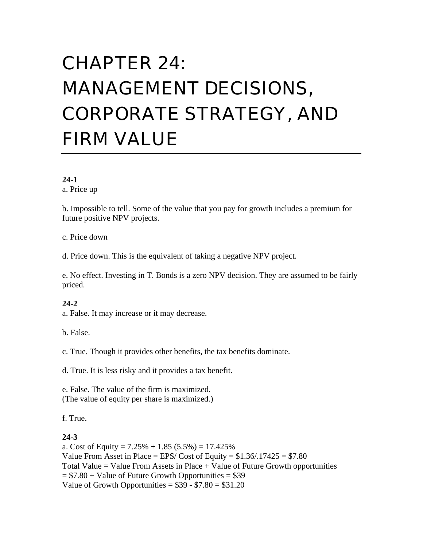# CHAPTER 24: MANAGEMENT DECISIONS, CORPORATE STRATEGY, AND FIRM VALUE

#### **24-1**

a. Price up

b. Impossible to tell. Some of the value that you pay for growth includes a premium for future positive NPV projects.

c. Price down

d. Price down. This is the equivalent of taking a negative NPV project.

e. No effect. Investing in T. Bonds is a zero NPV decision. They are assumed to be fairly priced.

## **24-2**

a. False. It may increase or it may decrease.

b. False.

c. True. Though it provides other benefits, the tax benefits dominate.

d. True. It is less risky and it provides a tax benefit.

e. False. The value of the firm is maximized. (The value of equity per share is maximized.)

f. True.

## **24-3**

a. Cost of Equity =  $7.25\% + 1.85(5.5\%) = 17.425\%$ Value From Asset in Place = EPS/ Cost of Equity =  $$1.36/0.17425 = $7.80$ Total Value  $=$  Value From Assets in Place  $+$  Value of Future Growth opportunities  $= $7.80 + Value$  of Future Growth Opportunities  $= $39$ Value of Growth Opportunities =  $$39 - $7.80 = $31.20$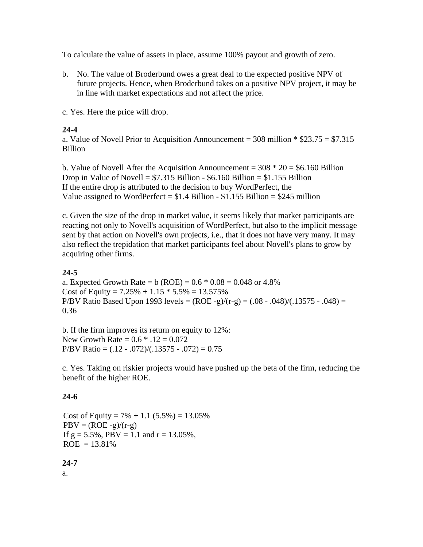To calculate the value of assets in place, assume 100% payout and growth of zero.

b. No. The value of Broderbund owes a great deal to the expected positive NPV of future projects. Hence, when Broderbund takes on a positive NPV project, it may be in line with market expectations and not affect the price.

c. Yes. Here the price will drop.

# **24-4**

a. Value of Novell Prior to Acquisition Announcement =  $308$  million  $*$  \$23.75 = \$7.315 Billion

b. Value of Novell After the Acquisition Announcement =  $308 * 20 = $6.160$  Billion Drop in Value of Novell =  $$7.315$  Billion -  $$6.160$  Billion =  $$1.155$  Billion If the entire drop is attributed to the decision to buy WordPerfect, the Value assigned to WordPerfect =  $$1.4$  Billion -  $$1.155$  Billion =  $$245$  million

c. Given the size of the drop in market value, it seems likely that market participants are reacting not only to Novell's acquisition of WordPerfect, but also to the implicit message sent by that action on Novell's own projects, i.e., that it does not have very many. It may also reflect the trepidation that market participants feel about Novell's plans to grow by acquiring other firms.

# **24-5**

a. Expected Growth Rate =  $b (ROE) = 0.6 * 0.08 = 0.048$  or 4.8% Cost of Equity =  $7.25\% + 1.15 * 5.5\% = 13.575\%$ P/BV Ratio Based Upon 1993 levels =  $(ROE - g)/(r-g) = (.08 - .048)/(.13575 - .048) =$ 0.36

b. If the firm improves its return on equity to 12%: New Growth Rate =  $0.6 * .12 = 0.072$ P/BV Ratio =  $(.12 - .072)/(.13575 - .072) = 0.75$ 

c. Yes. Taking on riskier projects would have pushed up the beta of the firm, reducing the benefit of the higher ROE.

# **24-6**

Cost of Equity =  $7\% + 1.1$  (5.5%) = 13.05%  $PBV = (ROE - g)/(r-g)$ If  $g = 5.5\%$ , PBV = 1.1 and  $r = 13.05\%$ ,  $ROE = 13.81%$ 

# **24-7**

a.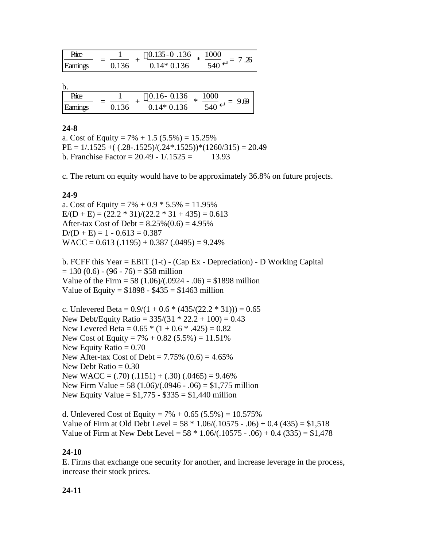| Price    |       | $0.135 - 0.136$ | 1000 |  |
|----------|-------|-----------------|------|--|
| Earninos | 0.136 | $0.14*0.136$    | 540  |  |

b.

| Hnce     |       | $0.16 - 0.136$ | 1000<br>ماء |  |
|----------|-------|----------------|-------------|--|
| Earninos | 0.136 | $0.14*0.136$   | 540         |  |

#### **24-8**

a. Cost of Equity =  $7\% + 1.5$  (5.5%) = 15.25%  $PE = 1/.1525 + ((.28-.1525)/(.24*.1525))*(1260/315) = 20.49$ b. Franchise Factor =  $20.49 - 1/0.1525 = 13.93$ 

c. The return on equity would have to be approximately 36.8% on future projects.

#### **24-9**

a. Cost of Equity =  $7\% + 0.9 * 5.5\% = 11.95\%$  $E/(D + E) = (22.2 * 31)/(22.2 * 31 + 435) = 0.613$ After-tax Cost of Debt =  $8.25\%(0.6) = 4.95\%$  $D/(D + E) = 1 - 0.613 = 0.387$  $WACC = 0.613(.1195) + 0.387(.0495) = 9.24\%$ 

b. FCFF this Year = EBIT (1-t) - (Cap Ex - Depreciation) - D Working Capital  $= 130 (0.6) - (96 - 76) = $58$  million Value of the Firm =  $58 (1.06)/(0.0924 - 0.06) = $1898$  million Value of Equity =  $$1898 - $435 = $1463$  million

c. Unlevered Beta =  $0.9/(1 + 0.6 * (435/(22.2 * 31))) = 0.65$ New Debt/Equity Ratio =  $335/(31 * 22.2 + 100) = 0.43$ New Levered Beta =  $0.65 * (1 + 0.6 * .425) = 0.82$ New Cost of Equity =  $7\% + 0.82$  (5.5%) = 11.51% New Equity Ratio  $= 0.70$ New After-tax Cost of Debt =  $7.75\%$  (0.6) =  $4.65\%$ New Debt Ratio  $= 0.30$ New WACC =  $(.70)$   $(.1151) + (.30)$   $(.0465) = 9.46\%$ New Firm Value = 58 (1.06)/(.0946 - .06) = \$1,775 million New Equity Value =  $$1,775 - $335 = $1,440$  million

d. Unlevered Cost of Equity =  $7\% + 0.65$  (5.5%) = 10.575% Value of Firm at Old Debt Level =  $58 * 1.06/(0.10575 - 0.06) + 0.4 (435) = $1,518$ Value of Firm at New Debt Level =  $58 * 1.06/(0.10575 - 0.06) + 0.4 (335) = $1,478$ 

#### **24-10**

E. Firms that exchange one security for another, and increase leverage in the process, increase their stock prices.

## **24-11**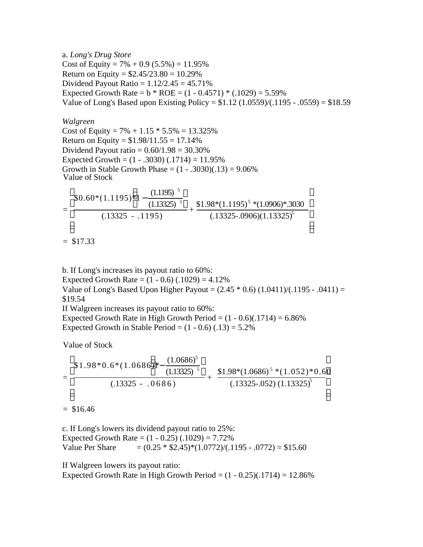a. *Long's Drug Store* Cost of Equity =  $7\% + 0.9$  (5.5%) = 11.95% Return on Equity =  $$2.45/23.80 = 10.29\%$ Dividend Payout Ratio =  $1.12/2.45 = 45.71\%$ Expected Growth Rate =  $b * ROE = (1 - 0.4571) * (.1029) = 5.59\%$ Value of Long's Based upon Existing Policy =  $$1.12$  (1.0559)/(.1195 - .0559) =  $$18.59$ 

*Walgreen* Cost of Equity =  $7\% + 1.15 * 5.5\% = 13.325\%$ Return on Equity =  $$1.98/11.55 = 17.14\%$ Dividend Payout ratio =  $0.60/1.98 = 30.30\%$ Expected Growth =  $(1 - .3030) (.1714) = 11.95\%$ Growth in Stable Growth Phase =  $(1 - .3030)(.13) = 9.06\%$ Value of Stock

$$
= \frac{\$0.60*(1.1195)*1 - \frac{(1.1195)^{-5}}{(1.13325)^{-5}}}{(.13325 - .1195)} + \frac{\$1.98*(1.1195)^{-5}*(1.0906)*.3030}{(.13325 - .0906)(1.13325)^{5}}
$$

 $=$  \$17.33

b. If Long's increases its payout ratio to 60%: Expected Growth Rate =  $(1 - 0.6)$   $(.1029) = 4.12\%$ Value of Long's Based Upon Higher Payout =  $(2.45 * 0.6) (1.0411)/(.1195 - .0411)$  = \$19.54 If Walgreen increases its payout ratio to 60%: Expected Growth Rate in High Growth Period =  $(1 - 0.6)(0.1714) = 6.86\%$ Expected Growth in Stable Period =  $(1 - 0.6)$   $(.13) = 5.2\%$ 

Value of Stock

$$
= \frac{\$1.98*0.6*(1.0686)*-\frac{(1.0686)^5}{(1.13325)^{-5}}}{(.13325 - .0686)} + \frac{\$1.98*(1.0686)^{-5}*(1.052)*0.60}{(.13325 - .052)(1.13325)^5}
$$

 $=$  \$16.46

c. If Long's lowers its dividend payout ratio to 25%: Expected Growth Rate =  $(1 - 0.25)$   $(.1029) = 7.72\%$ Value Per Share  $= (0.25 * $2.45) * (1.0772) / (.1195 - .0772) = $15.60$ 

If Walgreen lowers its payout ratio:

Expected Growth Rate in High Growth Period  $= (1 - 0.25)(0.1714) = 12.86\%$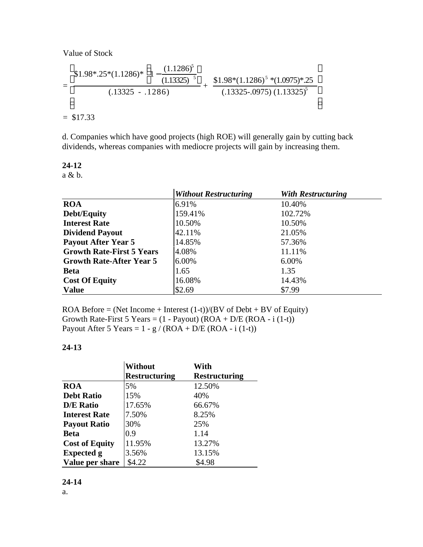Value of Stock

$$
= \frac{\$1.98*.25*(1.1286)*1-\frac{(1.1286)^5}{(1.13325)^{-5}}}{(.13325-.1286)}+\frac{\$1.98*(1.1286)^5*(1.0975)*.25}{(.13325-.0975)(1.13325)^5}
$$

 $=$  \$17.33

d. Companies which have good projects (high ROE) will generally gain by cutting back dividends, whereas companies with mediocre projects will gain by increasing them.

**24-12**

a & b.

|                                  | <b>Without Restructuring</b> | <b>With Restructuring</b> |
|----------------------------------|------------------------------|---------------------------|
| <b>ROA</b>                       | 6.91%                        | 10.40%                    |
| <b>Debt/Equity</b>               | 159.41%                      | 102.72%                   |
| <b>Interest Rate</b>             | 10.50%                       | 10.50%                    |
| <b>Dividend Payout</b>           | 42.11%                       | 21.05%                    |
| <b>Payout After Year 5</b>       | 14.85%                       | 57.36%                    |
| <b>Growth Rate-First 5 Years</b> | 4.08%                        | 11.11%                    |
| <b>Growth Rate-After Year 5</b>  | 6.00%                        | 6.00%                     |
| <b>Beta</b>                      | 1.65                         | 1.35                      |
| <b>Cost Of Equity</b>            | 16.08%                       | 14.43%                    |
| <b>Value</b>                     | \$2.69                       | \$7.99                    |

ROA Before = (Net Income + Interest  $(1-t)/(BV)$  of Debt + BV of Equity) Growth Rate-First 5 Years =  $(1 - Payout)$  (ROA + D/E (ROA - i (1-t)) Payout After 5 Years =  $1 - g / (ROA + D/E (ROA - i (1-t))$ 

#### **24-13**

|                       | <b>Without</b>       | With                 |
|-----------------------|----------------------|----------------------|
|                       | <b>Restructuring</b> | <b>Restructuring</b> |
| <b>ROA</b>            | 5%                   | 12.50%               |
| <b>Debt Ratio</b>     | 15%                  | 40%                  |
| <b>D/E Ratio</b>      | 17.65%               | 66.67%               |
| <b>Interest Rate</b>  | 7.50%                | 8.25%                |
| <b>Payout Ratio</b>   | 30%                  | 25%                  |
| <b>Beta</b>           | 0.9                  | 1.14                 |
| <b>Cost of Equity</b> | 11.95%               | 13.27%               |
| <b>Expected g</b>     | 3.56%                | 13.15%               |
| Value per share       | \$4.22               | \$4.98               |

# **24-14**

a.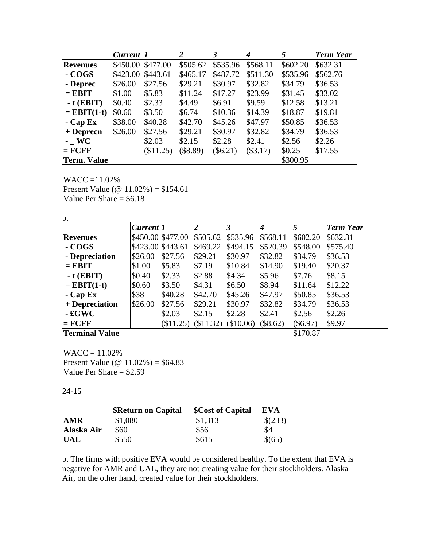|                    | Current 1 |                   | 2          | 3          | 4          | 5        | <b>Term Year</b> |
|--------------------|-----------|-------------------|------------|------------|------------|----------|------------------|
| <b>Revenues</b>    |           | \$450.00 \$477.00 | \$505.62   | \$535.96   | \$568.11   | \$602.20 | \$632.31         |
| - COGS             | \$423.00  | \$443.61          | \$465.17   | \$487.72   | \$511.30   | \$535.96 | \$562.76         |
| - Deprec           | \$26.00   | \$27.56           | \$29.21    | \$30.97    | \$32.82    | \$34.79  | \$36.53          |
| $=$ EBIT           | \$1.00    | \$5.83            | \$11.24    | \$17.27    | \$23.99    | \$31.45  | \$33.02          |
| $-t$ (EBIT)        | \$0.40    | \$2.33            | \$4.49     | \$6.91     | \$9.59     | \$12.58  | \$13.21          |
| $=$ EBIT(1-t)      | \$0.60    | \$3.50            | \$6.74     | \$10.36    | \$14.39    | \$18.87  | \$19.81          |
| $-Cap Ex$          | \$38.00   | \$40.28           | \$42.70    | \$45.26    | \$47.97    | \$50.85  | \$36.53          |
| $+$ Deprecn        | \$26.00   | \$27.56           | \$29.21    | \$30.97    | \$32.82    | \$34.79  | \$36.53          |
| $-$ WC             |           | \$2.03            | \$2.15     | \$2.28     | \$2.41     | \$2.56   | \$2.26           |
| $=$ FCFF           |           | (\$11.25)         | $(\$8.89)$ | $(\$6.21)$ | $(\$3.17)$ | \$0.25   | \$17.55          |
| <b>Term. Value</b> |           |                   |            |            |            | \$300.95 |                  |

WACC =11.02% Present Value (@ 11.02%) = \$154.61 Value Per Share  $=$  \$6.18

b.

|                       | <b>Current 1</b>  |                   | 2                   | 3         | 4        | 5          | <b>Term Year</b> |
|-----------------------|-------------------|-------------------|---------------------|-----------|----------|------------|------------------|
| <b>Revenues</b>       |                   | \$450.00 \$477.00 | \$505.62            | \$535.96  | \$568.11 | \$602.20   | \$632.31         |
| - COGS                | \$423.00 \$443.61 |                   | \$469.22            | \$494.15  | \$520.39 | \$548.00   | \$575.40         |
| - Depreciation        | \$26.00           | \$27.56           | \$29.21             | \$30.97   | \$32.82  | \$34.79    | \$36.53          |
| $=$ EBIT              | \$1.00            | \$5.83            | \$7.19              | \$10.84   | \$14.90  | \$19.40    | \$20.37          |
| $-t$ (EBIT)           | \$0.40            | \$2.33            | \$2.88              | \$4.34    | \$5.96   | \$7.76     | \$8.15           |
| $=$ EBIT(1-t)         | \$0.60            | \$3.50            | \$4.31              | \$6.50\$  | \$8.94   | \$11.64    | \$12.22          |
| $-Cap Ex$             | \$38              | \$40.28           | \$42.70             | \$45.26   | \$47.97  | \$50.85    | \$36.53          |
| + Depreciation        | \$26.00           | \$27.56           | \$29.21             | \$30.97   | \$32.82  | \$34.79    | \$36.53          |
| $-$ £ $GWC$           |                   | \$2.03            | \$2.15              | \$2.28    | \$2.41   | \$2.56     | \$2.26           |
| $=$ FCFF              |                   |                   | $$11.25)$ $$11.32)$ | (\$10.06) | (\$8.62) | $(\$6.97)$ | \$9.97           |
| <b>Terminal Value</b> |                   |                   |                     |           |          | \$170.87   |                  |

 $WACC = 11.02%$ Present Value ( $\omega$  11.02%) = \$64.83 Value Per Share = \$2.59

#### **24-15**

|            | <b>SReturn on Capital</b> | <b>\$Cost of Capital</b> | <b>EVA</b> |
|------------|---------------------------|--------------------------|------------|
| <b>AMR</b> | \$1,080                   | \$1,313                  | \$(233)    |
| Alaska Air | \$60                      | \$56                     | \$4        |
| <b>UAL</b> | \$550                     | \$615                    | \$(65)     |

b. The firms with positive EVA would be considered healthy. To the extent that EVA is negative for AMR and UAL, they are not creating value for their stockholders. Alaska Air, on the other hand, created value for their stockholders.